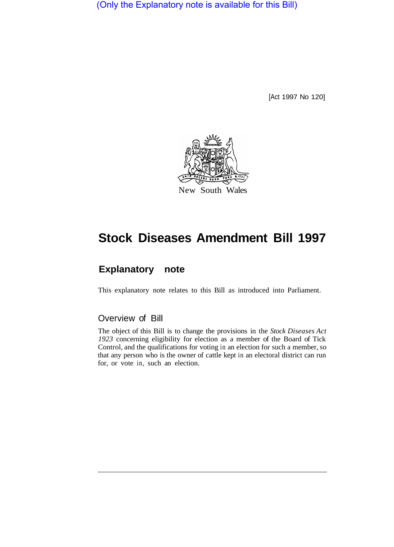(Only the Explanatory note is available for this Bill)

[Act 1997 No 120]



# **Stock Diseases Amendment Bill 1997**

# **Explanatory note**

This explanatory note relates to this Bill as introduced into Parliament.

# Overview of Bill

The object of this Bill is to change the provisions in the *Stock Diseases Act 1923* concerning eligibility for election as a member of the Board of Tick Control, and the qualifications for voting in an election for such a member, so that any person who is the owner of cattle kept in an electoral district can run for, or vote in, such an election.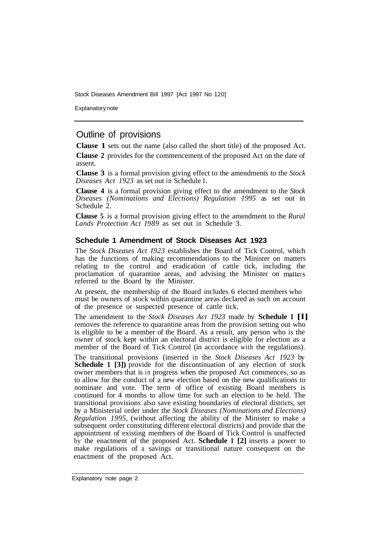Stock Diseases Amendment Bill 1997 [Act 1997 No 120]

Explanatory note

## Outline of provisions

**Clause 1** sets out the name (also called the short title) of the proposed Act.

**Clause 2** provides for the commencement of the proposed Act on the date of assent.

**Clause 3** is a formal provision giving effect to the amendments to the *Stock Diseases Act 1923* as set out in Schedule **1.** 

**Clause 4** is a formal provision giving effect to the amendment to the *Stock Diseases (Nominations and Elections) Regulation 1995* as set out in Schedule 2.

**Clause 5** is a formal provision giving effect to the amendment to the *Rural Lands Protection Act I989* as set out in Schedule 3.

#### **Schedule 1 Amendment of Stock Diseases Act 1923**

The *Stock Diseases Act I923* establishes the Board of Tick Control, which has the functions of making recommendations to the Minister on matters relating to the control and eradication of cattle tick, including the proclamation of quarantine areas, and advising the Minister on matters referred to the Board by the Minister.

At present, the membership of the Board includes 6 elected members who must be owners of stock within quarantine areas declared as such on account of the presence or suspected presence of cattle tick.

The amendment to the *Stock Diseases Act 1923* made by **Schedule 1 [l]**  removes the reference to quarantine areas from the provision setting out who is eligible to be a member of the Board. As a result, any person who is the owner of stock kept within an electoral district is eligible for election as a member of the Board of Tick Control (in accordance with the regulations).

The transitional provisions (inserted in the *Stock Diseases Act 1923* by **Schedule 1 [3])** provide for the discontinuation of any election of stock owner members that is in progress when the proposed Act commences, so as to allow for the conduct of a new election based on the new qualifications to nominate and vote. The term of office of existing Board members is continued for 4 months to allow time for such an election to be held. The transitional provisions also save existing boundaries of electoral districts, set by a Ministerial order under the *Stock Diseases (Nominations and Elections) Regulation 1995,* (without affecting the ability of the Minister to make a subsequent order constituting different electoral districts) and provide that the appointment of existing members of the Board of Tick Control is unaffected by the enactment of the proposed Act. **Schedule 1 [2]** inserts a power to make regulations of a savings or transitional nature consequent on the enactment of the proposed Act.